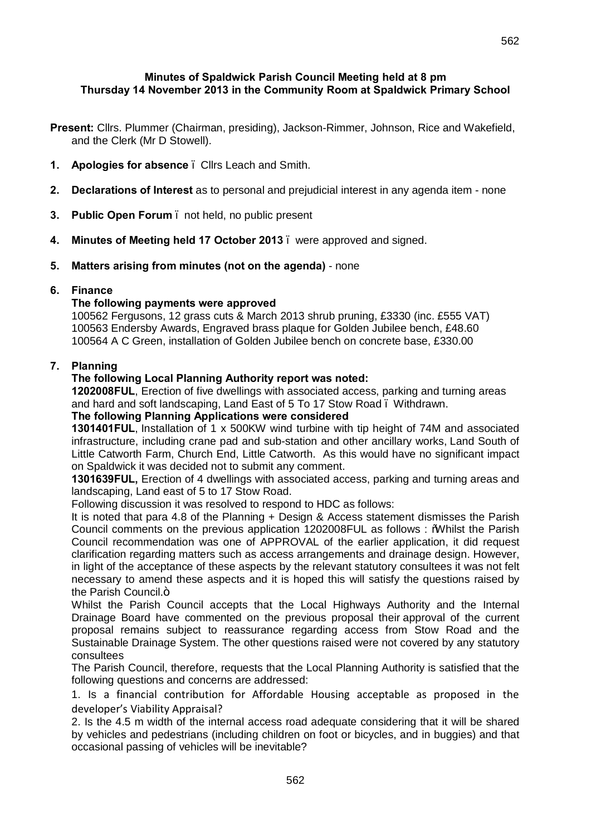# **Minutes of Spaldwick Parish Council Meeting held at 8 pm Thursday 14 November 2013 in the Community Room at Spaldwick Primary School**

- **Present:** Cllrs. Plummer (Chairman, presiding), Jackson-Rimmer, Johnson, Rice and Wakefield, and the Clerk (Mr D Stowell).
- **1. Apologies for absence** Cllrs Leach and Smith.
- **2. Declarations of Interest** as to personal and prejudicial interest in any agenda item none
- **3. Public Open Forum** not held, no public present
- **4. Minutes of Meeting held 17 October 2013**  were approved and signed.
- **5. Matters arising from minutes (not on the agenda)** none

## **6. Finance**

## **The following payments were approved**

100562 Fergusons, 12 grass cuts & March 2013 shrub pruning, £3330 (inc. £555 VAT) 100563 Endersby Awards, Engraved brass plaque for Golden Jubilee bench, £48.60 100564 A C Green, installation of Golden Jubilee bench on concrete base, £330.00

## **7. Planning**

## **The following Local Planning Authority report was noted:**

**1202008FUL**, Erection of five dwellings with associated access, parking and turning areas and hard and soft landscaping, Land East of 5 To 17 Stow Road – Withdrawn.

# **The following Planning Applications were considered**

**1301401FUL**, Installation of 1 x 500KW wind turbine with tip height of 74M and associated infrastructure, including crane pad and sub-station and other ancillary works, Land South of Little Catworth Farm, Church End, Little Catworth. As this would have no significant impact on Spaldwick it was decided not to submit any comment.

**1301639FUL,** Erection of 4 dwellings with associated access, parking and turning areas and landscaping, Land east of 5 to 17 Stow Road.

Following discussion it was resolved to respond to HDC as follows:

It is noted that para 4.8 of the Planning + Design & Access statement dismisses the Parish Council comments on the previous application 1202008FUL as follows : "Whilst the Parish Council recommendation was one of APPROVAL of the earlier application, it did request clarification regarding matters such as access arrangements and drainage design. However, in light of the acceptance of these aspects by the relevant statutory consultees it was not felt necessary to amend these aspects and it is hoped this will satisfy the questions raised by the Parish Council.<sup>"</sup>

Whilst the Parish Council accepts that the Local Highways Authority and the Internal Drainage Board have commented on the previous proposal their approval of the current proposal remains subject to reassurance regarding access from Stow Road and the Sustainable Drainage System. The other questions raised were not covered by any statutory consultees

The Parish Council, therefore, requests that the Local Planning Authority is satisfied that the following questions and concerns are addressed:

1. Is a financial contribution for Affordable Housing acceptable as proposed in the developer's Viability Appraisal?

2. Is the 4.5 m width of the internal access road adequate considering that it will be shared by vehicles and pedestrians (including children on foot or bicycles, and in buggies) and that occasional passing of vehicles will be inevitable?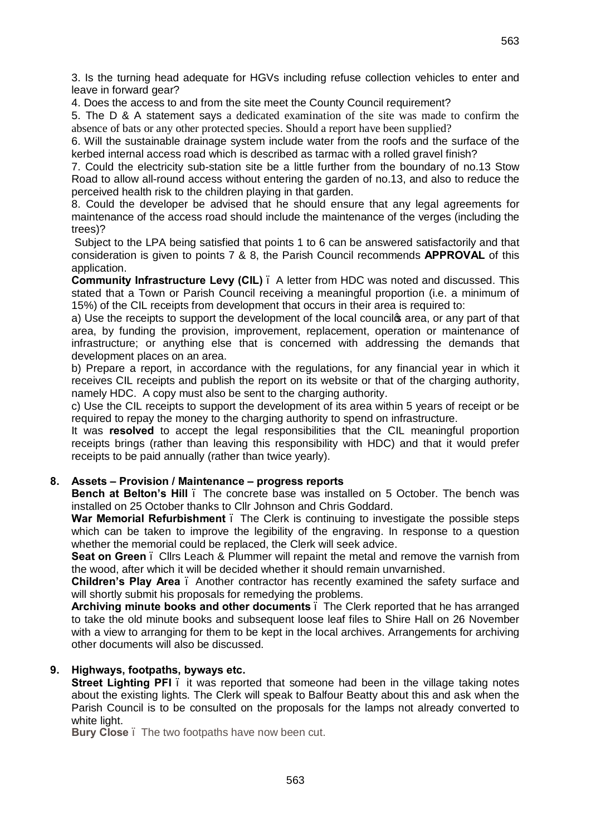3. Is the turning head adequate for HGVs including refuse collection vehicles to enter and leave in forward gear?

4. Does the access to and from the site meet the County Council requirement?

5. The D & A statement says a dedicated examination of the site was made to confirm the absence of bats or any other protected species. Should a report have been supplied?

6. Will the sustainable drainage system include water from the roofs and the surface of the kerbed internal access road which is described as tarmac with a rolled gravel finish?

7. Could the electricity sub-station site be a little further from the boundary of no.13 Stow Road to allow all-round access without entering the garden of no.13, and also to reduce the perceived health risk to the children playing in that garden.

8. Could the developer be advised that he should ensure that any legal agreements for maintenance of the access road should include the maintenance of the verges (including the trees)?

Subject to the LPA being satisfied that points 1 to 6 can be answered satisfactorily and that consideration is given to points 7 & 8, the Parish Council recommends **APPROVAL** of this application.

**Community Infrastructure Levy (CIL)** – A letter from HDC was noted and discussed. This stated that a Town or Parish Council receiving a meaningful proportion (i.e. a minimum of 15%) of the CIL receipts from development that occurs in their area is required to:

a) Use the receipts to support the development of the local councilos area, or any part of that area, by funding the provision, improvement, replacement, operation or maintenance of infrastructure; or anything else that is concerned with addressing the demands that development places on an area.

b) Prepare a report, in accordance with the regulations, for any financial year in which it receives CIL receipts and publish the report on its website or that of the charging authority, namely HDC. A copy must also be sent to the charging authority.

c) Use the CIL receipts to support the development of its area within 5 years of receipt or be required to repay the money to the charging authority to spend on infrastructure.

It was **resolved** to accept the legal responsibilities that the CIL meaningful proportion receipts brings (rather than leaving this responsibility with HDC) and that it would prefer receipts to be paid annually (rather than twice yearly).

## **8. Assets – Provision / Maintenance – progress reports**

**Bench at Belton's Hill** – The concrete base was installed on 5 October. The bench was installed on 25 October thanks to Cllr Johnson and Chris Goddard.

War Memorial Refurbishment . The Clerk is continuing to investigate the possible steps which can be taken to improve the legibility of the engraving. In response to a question whether the memorial could be replaced, the Clerk will seek advice.

**Seat on Green** – Cllrs Leach & Plummer will repaint the metal and remove the varnish from the wood, after which it will be decided whether it should remain unvarnished.

**Children's Play Area** – Another contractor has recently examined the safety surface and will shortly submit his proposals for remedying the problems.

**Archiving minute books and other documents** – The Clerk reported that he has arranged to take the old minute books and subsequent loose leaf files to Shire Hall on 26 November with a view to arranging for them to be kept in the local archives. Arrangements for archiving other documents will also be discussed.

## **9. Highways, footpaths, byways etc.**

**Street Lighting PFI** – it was reported that someone had been in the village taking notes about the existing lights. The Clerk will speak to Balfour Beatty about this and ask when the Parish Council is to be consulted on the proposals for the lamps not already converted to white light.

**Bury Close**. The two footpaths have now been cut.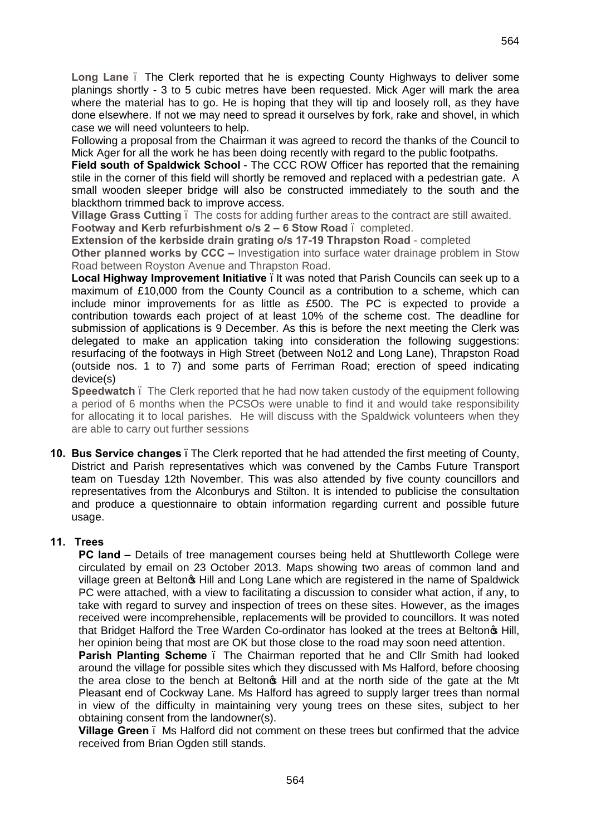**Long Lane** – The Clerk reported that he is expecting County Highways to deliver some planings shortly - 3 to 5 cubic metres have been requested. Mick Ager will mark the area where the material has to go. He is hoping that they will tip and loosely roll, as they have done elsewhere. If not we may need to spread it ourselves by fork, rake and shovel, in which case we will need volunteers to help.

Following a proposal from the Chairman it was agreed to record the thanks of the Council to Mick Ager for all the work he has been doing recently with regard to the public footpaths.

**Field south of Spaldwick School** - The CCC ROW Officer has reported that the remaining stile in the corner of this field will shortly be removed and replaced with a pedestrian gate. A small wooden sleeper bridge will also be constructed immediately to the south and the blackthorn trimmed back to improve access.

**Village Grass Cutting** – The costs for adding further areas to the contract are still awaited. **Footway and Kerb refurbishment o/s 2 – 6 Stow Road** – completed.

**Extension of the kerbside drain grating o/s 17-19 Thrapston Road** - completed

**Other planned works by CCC –** Investigation into surface water drainage problem in Stow Road between Royston Avenue and Thrapston Road.

**Local Highway Improvement Initiative** . It was noted that Parish Councils can seek up to a maximum of £10,000 from the County Council as a contribution to a scheme, which can include minor improvements for as little as £500. The PC is expected to provide a contribution towards each project of at least 10% of the scheme cost. The deadline for submission of applications is 9 December. As this is before the next meeting the Clerk was delegated to make an application taking into consideration the following suggestions: resurfacing of the footways in High Street (between No12 and Long Lane), Thrapston Road (outside nos. 1 to 7) and some parts of Ferriman Road; erection of speed indicating device(s)

**Speedwatch** . The Clerk reported that he had now taken custody of the equipment following a period of 6 months when the PCSOs were unable to find it and would take responsibility for allocating it to local parishes. He will discuss with the Spaldwick volunteers when they are able to carry out further sessions

**10. Bus Service changes** –The Clerk reported that he had attended the first meeting of County, District and Parish representatives which was convened by the Cambs Future Transport team on Tuesday 12th November. This was also attended by five county councillors and representatives from the Alconburys and Stilton. It is intended to publicise the consultation and produce a questionnaire to obtain information regarding current and possible future usage.

# **11. Trees**

**PC land** – Details of tree management courses being held at Shuttleworth College were circulated by email on 23 October 2013. Maps showing two areas of common land and village green at Belton we Hill and Long Lane which are registered in the name of Spaldwick PC were attached, with a view to facilitating a discussion to consider what action, if any, to take with regard to survey and inspection of trees on these sites. However, as the images received were incomprehensible, replacements will be provided to councillors. It was noted that Bridget Halford the Tree Warden Co-ordinator has looked at the trees at Beltongs Hill, her opinion being that most are OK but those close to the road may soon need attention.

**Parish Planting Scheme** – The Chairman reported that he and Cllr Smith had looked around the village for possible sites which they discussed with Ms Halford, before choosing the area close to the bench at Belton<sub>®</sub> Hill and at the north side of the gate at the Mt Pleasant end of Cockway Lane. Ms Halford has agreed to supply larger trees than normal in view of the difficulty in maintaining very young trees on these sites, subject to her obtaining consent from the landowner(s).

**Village Green** – Ms Halford did not comment on these trees but confirmed that the advice received from Brian Ogden still stands.